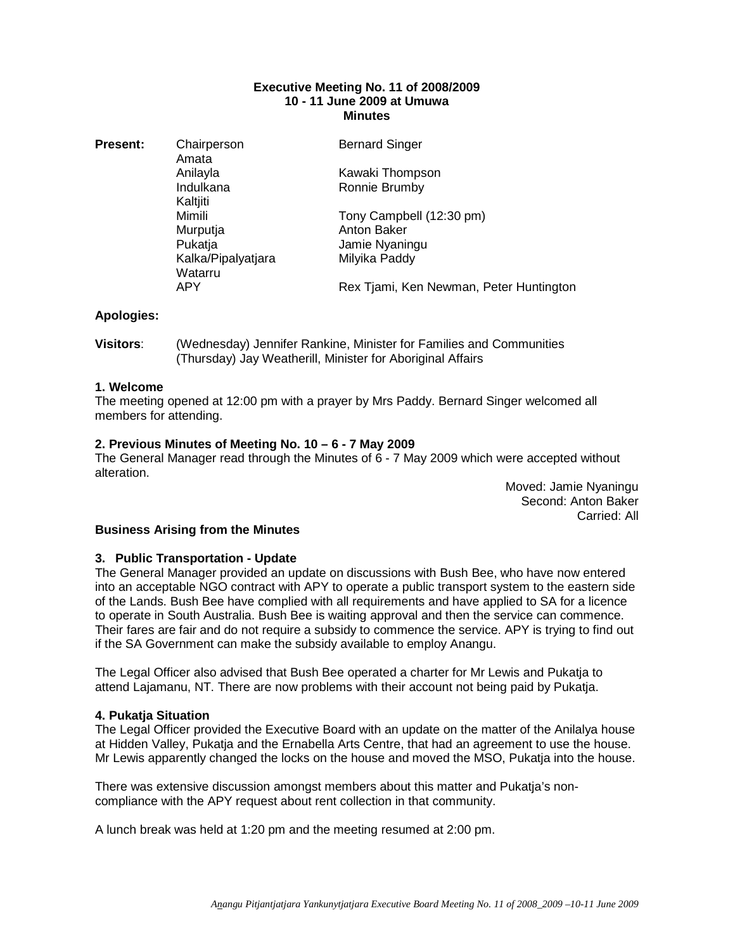#### **Executive Meeting No. 11 of 2008/2009 10 - 11 June 2009 at Umuwa Minutes**

Amata Kaltiiti Watarru<br>APY

**Present:** Chairperson **Bernard Singer** Anilayla Kawaki Thompson Indulkana Ronnie Brumby Mimili **Tony Campbell** (12:30 pm) Murputja **Anton Baker** Pukatja Jamie Nyaningu Kalka/Pipalyatjara Milyika Paddy Rex Tjami, Ken Newman, Peter Huntington

## **Apologies:**

**Visitors**: (Wednesday) Jennifer Rankine, Minister for Families and Communities (Thursday) Jay Weatherill, Minister for Aboriginal Affairs

## **1. Welcome**

The meeting opened at 12:00 pm with a prayer by Mrs Paddy. Bernard Singer welcomed all members for attending.

## **2. Previous Minutes of Meeting No. 10 – 6 - 7 May 2009**

The General Manager read through the Minutes of 6 - 7 May 2009 which were accepted without alteration.

> Moved: Jamie Nyaningu Second: Anton Baker Carried: All

## **Business Arising from the Minutes**

## **3. Public Transportation - Update**

The General Manager provided an update on discussions with Bush Bee, who have now entered into an acceptable NGO contract with APY to operate a public transport system to the eastern side of the Lands. Bush Bee have complied with all requirements and have applied to SA for a licence to operate in South Australia. Bush Bee is waiting approval and then the service can commence. Their fares are fair and do not require a subsidy to commence the service. APY is trying to find out if the SA Government can make the subsidy available to employ Anangu.

The Legal Officer also advised that Bush Bee operated a charter for Mr Lewis and Pukatja to attend Lajamanu, NT. There are now problems with their account not being paid by Pukatja.

## **4. Pukatja Situation**

The Legal Officer provided the Executive Board with an update on the matter of the Anilalya house at Hidden Valley, Pukatja and the Ernabella Arts Centre, that had an agreement to use the house. Mr Lewis apparently changed the locks on the house and moved the MSO, Pukatja into the house.

There was extensive discussion amongst members about this matter and Pukatja's noncompliance with the APY request about rent collection in that community.

A lunch break was held at 1:20 pm and the meeting resumed at 2:00 pm.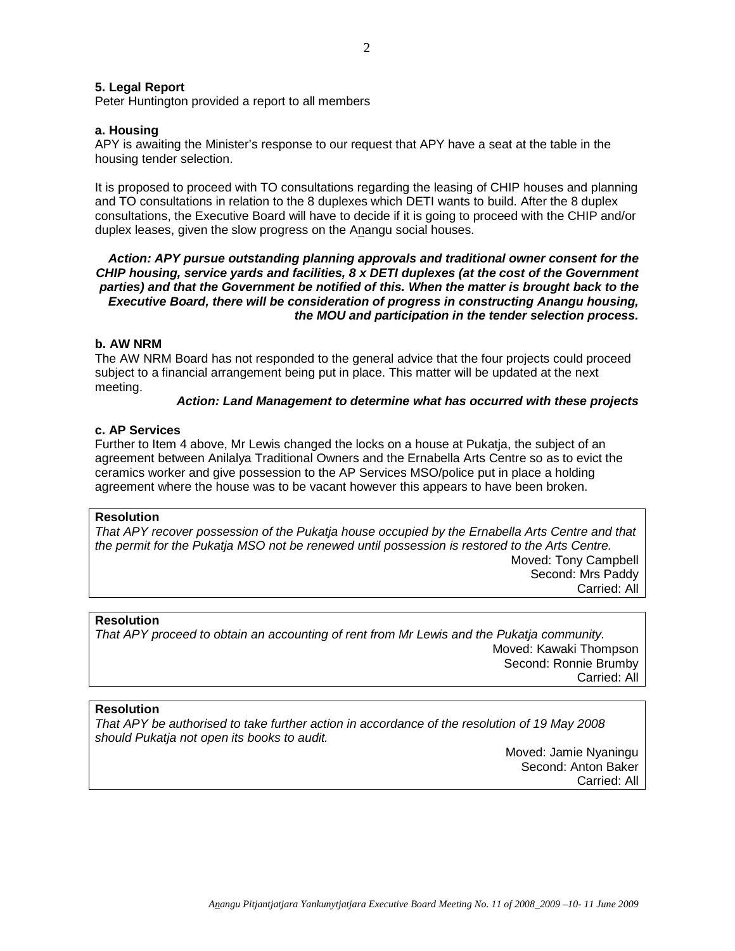#### **5. Legal Report**

Peter Huntington provided a report to all members

## **a. Housing**

APY is awaiting the Minister's response to our request that APY have a seat at the table in the housing tender selection.

It is proposed to proceed with TO consultations regarding the leasing of CHIP houses and planning and TO consultations in relation to the 8 duplexes which DETI wants to build. After the 8 duplex consultations, the Executive Board will have to decide if it is going to proceed with the CHIP and/or duplex leases, given the slow progress on the Anangu social houses.

## **Action: APY pursue outstanding planning approvals and traditional owner consent for the CHIP housing, service yards and facilities, 8 x DETI duplexes (at the cost of the Government parties) and that the Government be notified of this. When the matter is brought back to the Executive Board, there will be consideration of progress in constructing Anangu housing, the MOU and participation in the tender selection process.**

## **b. AW NRM**

The AW NRM Board has not responded to the general advice that the four projects could proceed subject to a financial arrangement being put in place. This matter will be updated at the next meeting.

## **Action: Land Management to determine what has occurred with these projects**

#### **c. AP Services**

Further to Item 4 above, Mr Lewis changed the locks on a house at Pukatja, the subject of an agreement between Anilalya Traditional Owners and the Ernabella Arts Centre so as to evict the ceramics worker and give possession to the AP Services MSO/police put in place a holding agreement where the house was to be vacant however this appears to have been broken.

#### **Resolution**

That APY recover possession of the Pukatja house occupied by the Ernabella Arts Centre and that the permit for the Pukatja MSO not be renewed until possession is restored to the Arts Centre. Moved: Tony Campbell Second: Mrs Paddy Carried: All

#### **Resolution**

That APY proceed to obtain an accounting of rent from Mr Lewis and the Pukatja community. Moved: Kawaki Thompson Second: Ronnie Brumby Carried: All

## **Resolution**

That APY be authorised to take further action in accordance of the resolution of 19 May 2008 should Pukatja not open its books to audit.

> Moved: Jamie Nyaningu Second: Anton Baker Carried: All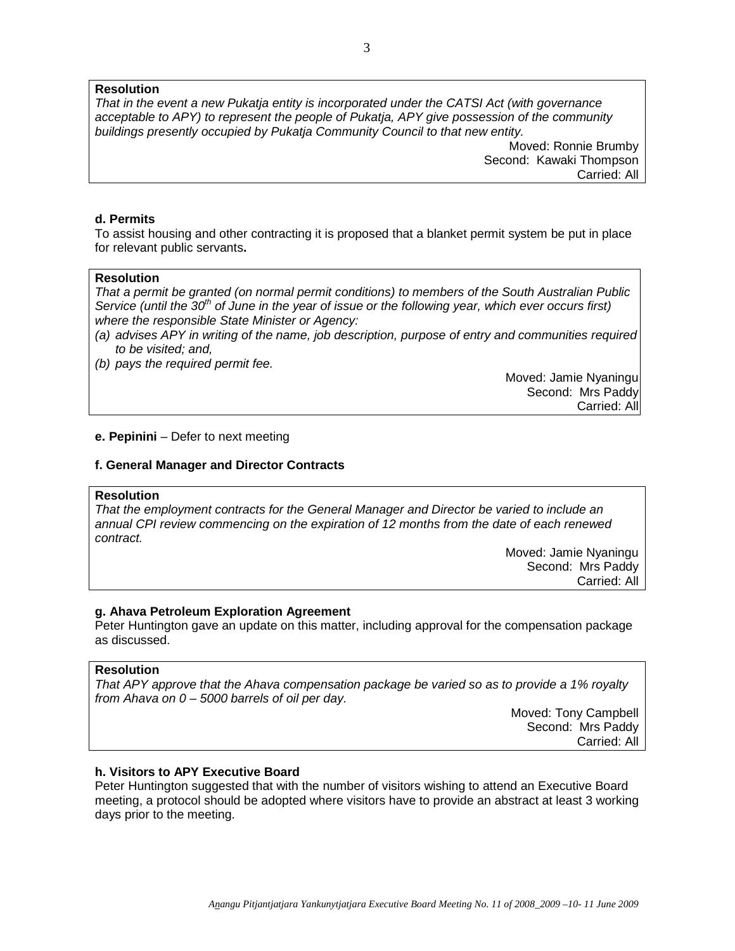## **Resolution**

That in the event a new Pukatja entity is incorporated under the CATSI Act (with governance acceptable to APY) to represent the people of Pukatja, APY give possession of the community buildings presently occupied by Pukatja Community Council to that new entity.

> Moved: Ronnie Brumby Second: Kawaki Thompson Carried: All

## **d. Permits**

To assist housing and other contracting it is proposed that a blanket permit system be put in place for relevant public servants**.** 

## **Resolution**

That a permit be granted (on normal permit conditions) to members of the South Australian Public Service (until the 30<sup>th</sup> of June in the year of issue or the following year, which ever occurs first) where the responsible State Minister or Agency:

- (a) advises APY in writing of the name, job description, purpose of entry and communities required to be visited; and,
- (b) pays the required permit fee.

Moved: Jamie Nyaningu Second: Mrs Paddy Carried: All

## **e. Pepinini** – Defer to next meeting

## **f. General Manager and Director Contracts**

## **Resolution**

That the employment contracts for the General Manager and Director be varied to include an annual CPI review commencing on the expiration of 12 months from the date of each renewed contract.

> Moved: Jamie Nyaningu Second: Mrs Paddy Carried: All

## **g. Ahava Petroleum Exploration Agreement**

Peter Huntington gave an update on this matter, including approval for the compensation package as discussed.

## **Resolution**

That APY approve that the Ahava compensation package be varied so as to provide a 1% royalty from Ahava on  $0 - 5000$  barrels of oil per day.

> Moved: Tony Campbell Second: Mrs Paddy Carried: All

## **h. Visitors to APY Executive Board**

Peter Huntington suggested that with the number of visitors wishing to attend an Executive Board meeting, a protocol should be adopted where visitors have to provide an abstract at least 3 working days prior to the meeting.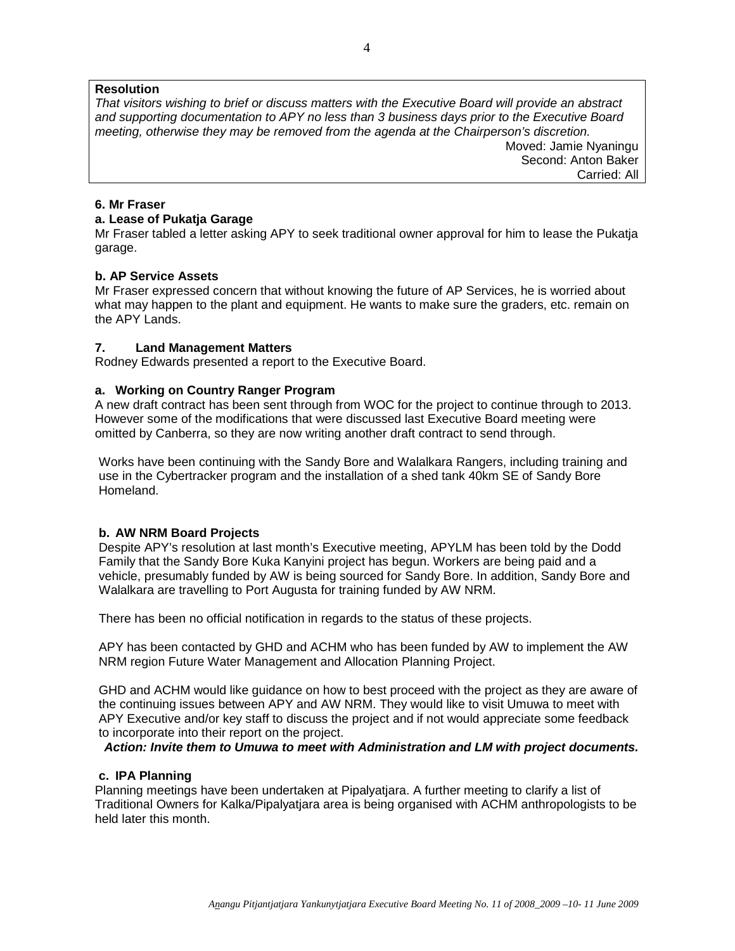## **Resolution**

That visitors wishing to brief or discuss matters with the Executive Board will provide an abstract and supporting documentation to APY no less than 3 business days prior to the Executive Board meeting, otherwise they may be removed from the agenda at the Chairperson's discretion.

Moved: Jamie Nyaningu Second: Anton Baker Carried: All

## **6. Mr Fraser**

## **a. Lease of Pukatja Garage**

Mr Fraser tabled a letter asking APY to seek traditional owner approval for him to lease the Pukatja garage.

## **b. AP Service Assets**

Mr Fraser expressed concern that without knowing the future of AP Services, he is worried about what may happen to the plant and equipment. He wants to make sure the graders, etc. remain on the APY Lands.

## **7. Land Management Matters**

Rodney Edwards presented a report to the Executive Board.

## **a. Working on Country Ranger Program**

A new draft contract has been sent through from WOC for the project to continue through to 2013. However some of the modifications that were discussed last Executive Board meeting were omitted by Canberra, so they are now writing another draft contract to send through.

Works have been continuing with the Sandy Bore and Walalkara Rangers, including training and use in the Cybertracker program and the installation of a shed tank 40km SE of Sandy Bore Homeland.

## **b. AW NRM Board Projects**

Despite APY's resolution at last month's Executive meeting, APYLM has been told by the Dodd Family that the Sandy Bore Kuka Kanyini project has begun. Workers are being paid and a vehicle, presumably funded by AW is being sourced for Sandy Bore. In addition, Sandy Bore and Walalkara are travelling to Port Augusta for training funded by AW NRM.

There has been no official notification in regards to the status of these projects.

APY has been contacted by GHD and ACHM who has been funded by AW to implement the AW NRM region Future Water Management and Allocation Planning Project.

GHD and ACHM would like guidance on how to best proceed with the project as they are aware of the continuing issues between APY and AW NRM. They would like to visit Umuwa to meet with APY Executive and/or key staff to discuss the project and if not would appreciate some feedback to incorporate into their report on the project.

**Action: Invite them to Umuwa to meet with Administration and LM with project documents.** 

## **c. IPA Planning**

Planning meetings have been undertaken at Pipalyatjara. A further meeting to clarify a list of Traditional Owners for Kalka/Pipalyatjara area is being organised with ACHM anthropologists to be held later this month.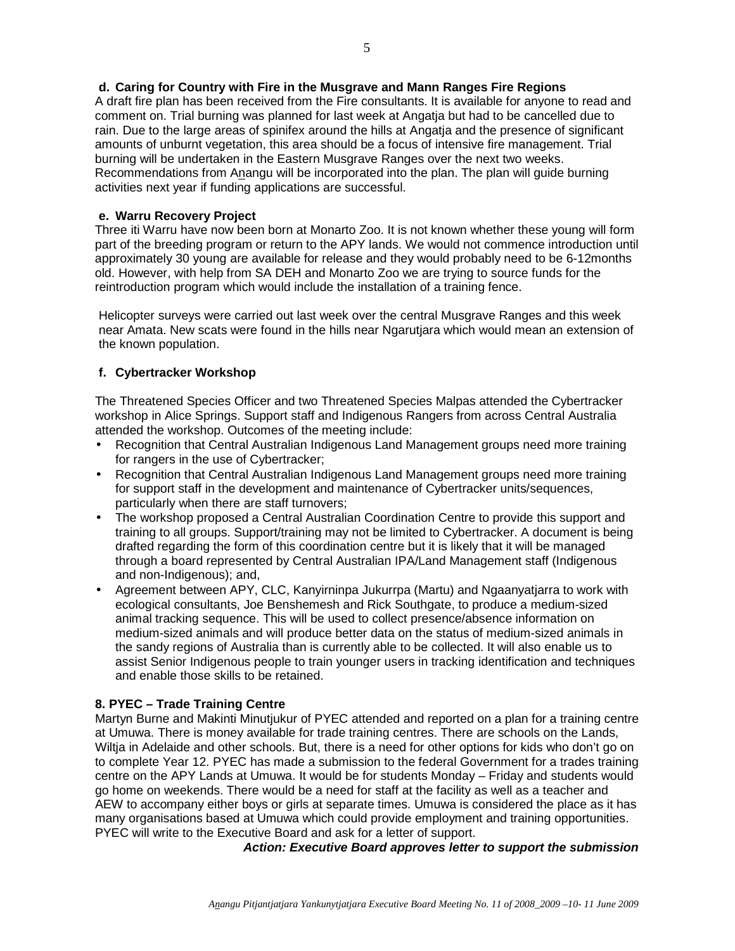A draft fire plan has been received from the Fire consultants. It is available for anyone to read and comment on. Trial burning was planned for last week at Angatja but had to be cancelled due to rain. Due to the large areas of spinifex around the hills at Angatja and the presence of significant amounts of unburnt vegetation, this area should be a focus of intensive fire management. Trial burning will be undertaken in the Eastern Musgrave Ranges over the next two weeks. Recommendations from Anangu will be incorporated into the plan. The plan will guide burning activities next year if funding applications are successful.

# **e. Warru Recovery Project**

Three iti Warru have now been born at Monarto Zoo. It is not known whether these young will form part of the breeding program or return to the APY lands. We would not commence introduction until approximately 30 young are available for release and they would probably need to be 6-12months old. However, with help from SA DEH and Monarto Zoo we are trying to source funds for the reintroduction program which would include the installation of a training fence.

Helicopter surveys were carried out last week over the central Musgrave Ranges and this week near Amata. New scats were found in the hills near Ngarutjara which would mean an extension of the known population.

# **f. Cybertracker Workshop**

The Threatened Species Officer and two Threatened Species Malpas attended the Cybertracker workshop in Alice Springs. Support staff and Indigenous Rangers from across Central Australia attended the workshop. Outcomes of the meeting include:

- Recognition that Central Australian Indigenous Land Management groups need more training for rangers in the use of Cybertracker;
- Recognition that Central Australian Indigenous Land Management groups need more training for support staff in the development and maintenance of Cybertracker units/sequences, particularly when there are staff turnovers;
- The workshop proposed a Central Australian Coordination Centre to provide this support and training to all groups. Support/training may not be limited to Cybertracker. A document is being drafted regarding the form of this coordination centre but it is likely that it will be managed through a board represented by Central Australian IPA/Land Management staff (Indigenous and non-Indigenous); and,
- Agreement between APY, CLC, Kanyirninpa Jukurrpa (Martu) and Ngaanyatjarra to work with ecological consultants, Joe Benshemesh and Rick Southgate, to produce a medium-sized animal tracking sequence. This will be used to collect presence/absence information on medium-sized animals and will produce better data on the status of medium-sized animals in the sandy regions of Australia than is currently able to be collected. It will also enable us to assist Senior Indigenous people to train younger users in tracking identification and techniques and enable those skills to be retained.

## **8. PYEC – Trade Training Centre**

Martyn Burne and Makinti Minutjukur of PYEC attended and reported on a plan for a training centre at Umuwa. There is money available for trade training centres. There are schools on the Lands, Wiltja in Adelaide and other schools. But, there is a need for other options for kids who don't go on to complete Year 12. PYEC has made a submission to the federal Government for a trades training centre on the APY Lands at Umuwa. It would be for students Monday – Friday and students would go home on weekends. There would be a need for staff at the facility as well as a teacher and AEW to accompany either boys or girls at separate times. Umuwa is considered the place as it has many organisations based at Umuwa which could provide employment and training opportunities. PYEC will write to the Executive Board and ask for a letter of support.

**Action: Executive Board approves letter to support the submission**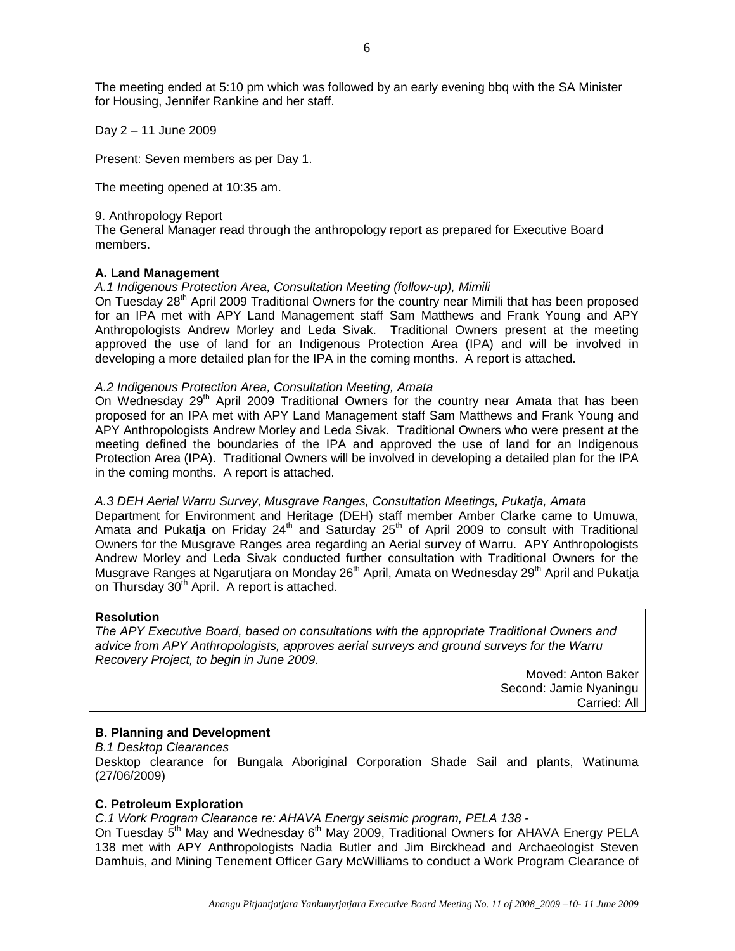The meeting ended at 5:10 pm which was followed by an early evening bbq with the SA Minister for Housing, Jennifer Rankine and her staff.

Day 2 – 11 June 2009

Present: Seven members as per Day 1.

The meeting opened at 10:35 am.

#### 9. Anthropology Report

The General Manager read through the anthropology report as prepared for Executive Board members.

## **A. Land Management**

#### A.1 Indigenous Protection Area, Consultation Meeting (follow-up), Mimili

On Tuesday 28<sup>th</sup> April 2009 Traditional Owners for the country near Mimili that has been proposed for an IPA met with APY Land Management staff Sam Matthews and Frank Young and APY Anthropologists Andrew Morley and Leda Sivak. Traditional Owners present at the meeting approved the use of land for an Indigenous Protection Area (IPA) and will be involved in developing a more detailed plan for the IPA in the coming months. A report is attached.

#### A.2 Indigenous Protection Area, Consultation Meeting, Amata

On Wednesday  $29<sup>th</sup>$  April 2009 Traditional Owners for the country near Amata that has been proposed for an IPA met with APY Land Management staff Sam Matthews and Frank Young and APY Anthropologists Andrew Morley and Leda Sivak. Traditional Owners who were present at the meeting defined the boundaries of the IPA and approved the use of land for an Indigenous Protection Area (IPA). Traditional Owners will be involved in developing a detailed plan for the IPA in the coming months. A report is attached.

#### A.3 DEH Aerial Warru Survey, Musgrave Ranges, Consultation Meetings, Pukatja, Amata

Department for Environment and Heritage (DEH) staff member Amber Clarke came to Umuwa, Amata and Pukatja on Friday  $24<sup>th</sup>$  and Saturday  $25<sup>th</sup>$  of April 2009 to consult with Traditional Owners for the Musgrave Ranges area regarding an Aerial survey of Warru. APY Anthropologists Andrew Morley and Leda Sivak conducted further consultation with Traditional Owners for the Musgrave Ranges at Ngarutjara on Monday 26<sup>th</sup> April, Amata on Wednesday 29<sup>th</sup> April and Pukatja on Thursday 30<sup>th</sup> April. A report is attached.

## **Resolution**

The APY Executive Board, based on consultations with the appropriate Traditional Owners and advice from APY Anthropologists, approves aerial surveys and ground surveys for the Warru Recovery Project, to begin in June 2009.

> Moved: Anton Baker Second: Jamie Nyaningu Carried: All

## **B. Planning and Development**

B.1 Desktop Clearances

Desktop clearance for Bungala Aboriginal Corporation Shade Sail and plants, Watinuma (27/06/2009)

## **C. Petroleum Exploration**

C.1 Work Program Clearance re: AHAVA Energy seismic program, PELA 138 -

On Tuesday 5<sup>th</sup> May and Wednesday 6<sup>th</sup> May 2009, Traditional Owners for AHAVA Energy PELA 138 met with APY Anthropologists Nadia Butler and Jim Birckhead and Archaeologist Steven Damhuis, and Mining Tenement Officer Gary McWilliams to conduct a Work Program Clearance of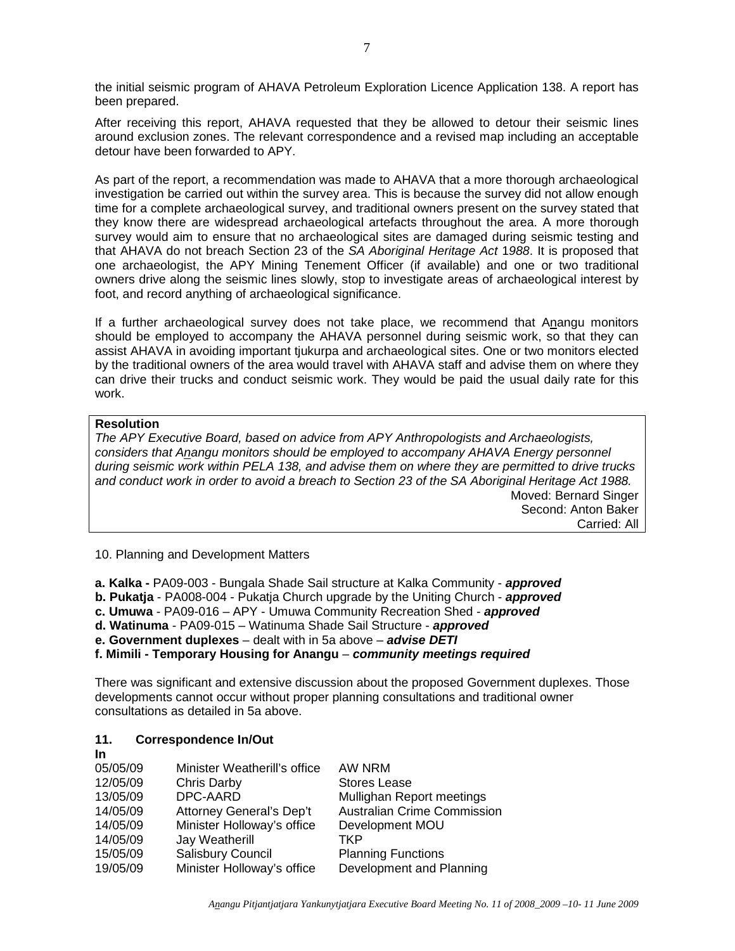the initial seismic program of AHAVA Petroleum Exploration Licence Application 138. A report has been prepared.

After receiving this report, AHAVA requested that they be allowed to detour their seismic lines around exclusion zones. The relevant correspondence and a revised map including an acceptable detour have been forwarded to APY.

As part of the report, a recommendation was made to AHAVA that a more thorough archaeological investigation be carried out within the survey area. This is because the survey did not allow enough time for a complete archaeological survey, and traditional owners present on the survey stated that they know there are widespread archaeological artefacts throughout the area. A more thorough survey would aim to ensure that no archaeological sites are damaged during seismic testing and that AHAVA do not breach Section 23 of the SA Aboriginal Heritage Act 1988. It is proposed that one archaeologist, the APY Mining Tenement Officer (if available) and one or two traditional owners drive along the seismic lines slowly, stop to investigate areas of archaeological interest by foot, and record anything of archaeological significance.

If a further archaeological survey does not take place, we recommend that Anangu monitors should be employed to accompany the AHAVA personnel during seismic work, so that they can assist AHAVA in avoiding important tjukurpa and archaeological sites. One or two monitors elected by the traditional owners of the area would travel with AHAVA staff and advise them on where they can drive their trucks and conduct seismic work. They would be paid the usual daily rate for this work.

## **Resolution**

The APY Executive Board, based on advice from APY Anthropologists and Archaeologists, considers that Anangu monitors should be employed to accompany AHAVA Energy personnel during seismic work within PELA 138, and advise them on where they are permitted to drive trucks and conduct work in order to avoid a breach to Section 23 of the SA Aboriginal Heritage Act 1988. Moved: Bernard Singer Second: Anton Baker

Carried: All

10. Planning and Development Matters

**a. Kalka -** PA09-003 - Bungala Shade Sail structure at Kalka Community - **approved**

**b. Pukatja** - PA008-004 - Pukatja Church upgrade by the Uniting Church - **approved**

**c. Umuwa** - PA09-016 – APY - Umuwa Community Recreation Shed - **approved**

**d. Watinuma** - PA09-015 – Watinuma Shade Sail Structure - **approved**

**e. Government duplexes** – dealt with in 5a above – **advise DETI**

**f. Mimili - Temporary Housing for Anangu** – **community meetings required**

There was significant and extensive discussion about the proposed Government duplexes. Those developments cannot occur without proper planning consultations and traditional owner consultations as detailed in 5a above.

#### **11. Correspondence In/Out In**

| .        |                              |                                    |
|----------|------------------------------|------------------------------------|
| 05/05/09 | Minister Weatherill's office | AW NRM                             |
| 12/05/09 | Chris Darby                  | <b>Stores Lease</b>                |
| 13/05/09 | DPC-AARD                     | Mullighan Report meetings          |
| 14/05/09 | Attorney General's Dep't     | <b>Australian Crime Commission</b> |
| 14/05/09 | Minister Holloway's office   | Development MOU                    |
| 14/05/09 | Jay Weatherill               | TKP                                |
| 15/05/09 | Salisbury Council            | <b>Planning Functions</b>          |
| 19/05/09 | Minister Holloway's office   | Development and Planning           |
|          |                              |                                    |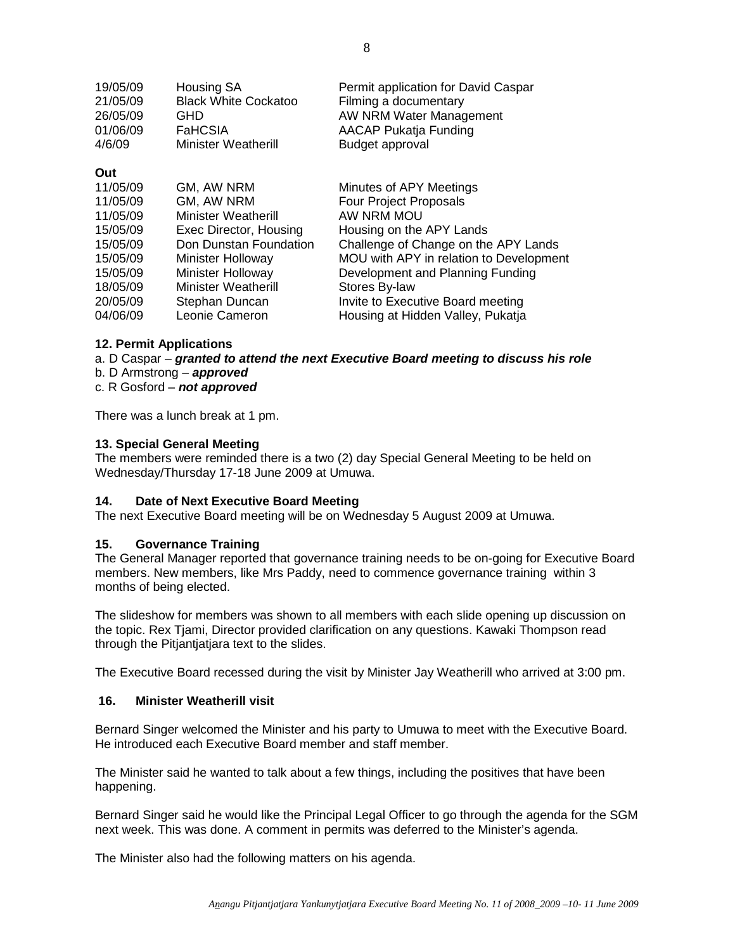| 19/05/09 | <b>Housing SA</b>           | Permit application for David Caspar |
|----------|-----------------------------|-------------------------------------|
| 21/05/09 | <b>Black White Cockatoo</b> | Filming a documentary               |
| 26/05/09 | GHD                         | AW NRM Water Management             |
| 01/06/09 | <b>FaHCSIA</b>              | AACAP Pukatja Funding               |
| 4/6/09   | <b>Minister Weatherill</b>  | <b>Budget approval</b>              |
| Out      |                             |                                     |
| 11/05/09 | GM, AW NRM                  | Minutes of APY Meetings             |
| 11/05/09 | GM, AW NRM                  | Four Project Proposals              |
| 11/05/09 | <b>Minister Weatherill</b>  | AW NRM MOU                          |
| 15/05/00 | Evec Director Housing       | Housing on the ADV Lands            |

| .        |                            |                                         |
|----------|----------------------------|-----------------------------------------|
| 15/05/09 | Exec Director, Housing     | Housing on the APY Lands                |
| 15/05/09 | Don Dunstan Foundation     | Challenge of Change on the APY Lands    |
| 15/05/09 | <b>Minister Holloway</b>   | MOU with APY in relation to Development |
| 15/05/09 | Minister Holloway          | Development and Planning Funding        |
| 18/05/09 | <b>Minister Weatherill</b> | Stores By-law                           |
| 20/05/09 | Stephan Duncan             | Invite to Executive Board meeting       |
| 04/06/09 | Leonie Cameron             | Housing at Hidden Valley, Pukatja       |
|          |                            |                                         |

## **12. Permit Applications**

a. D Caspar – **granted to attend the next Executive Board meeting to discuss his role**

b. D Armstrong – **approved**

c. R Gosford – **not approved**

There was a lunch break at 1 pm.

## **13. Special General Meeting**

The members were reminded there is a two (2) day Special General Meeting to be held on Wednesday/Thursday 17-18 June 2009 at Umuwa.

## **14. Date of Next Executive Board Meeting**

The next Executive Board meeting will be on Wednesday 5 August 2009 at Umuwa.

## **15. Governance Training**

The General Manager reported that governance training needs to be on-going for Executive Board members. New members, like Mrs Paddy, need to commence governance training within 3 months of being elected.

The slideshow for members was shown to all members with each slide opening up discussion on the topic. Rex Tjami, Director provided clarification on any questions. Kawaki Thompson read through the Pitjantjatjara text to the slides.

The Executive Board recessed during the visit by Minister Jay Weatherill who arrived at 3:00 pm.

#### **16. Minister Weatherill visit**

Bernard Singer welcomed the Minister and his party to Umuwa to meet with the Executive Board. He introduced each Executive Board member and staff member.

The Minister said he wanted to talk about a few things, including the positives that have been happening.

Bernard Singer said he would like the Principal Legal Officer to go through the agenda for the SGM next week. This was done. A comment in permits was deferred to the Minister's agenda.

The Minister also had the following matters on his agenda.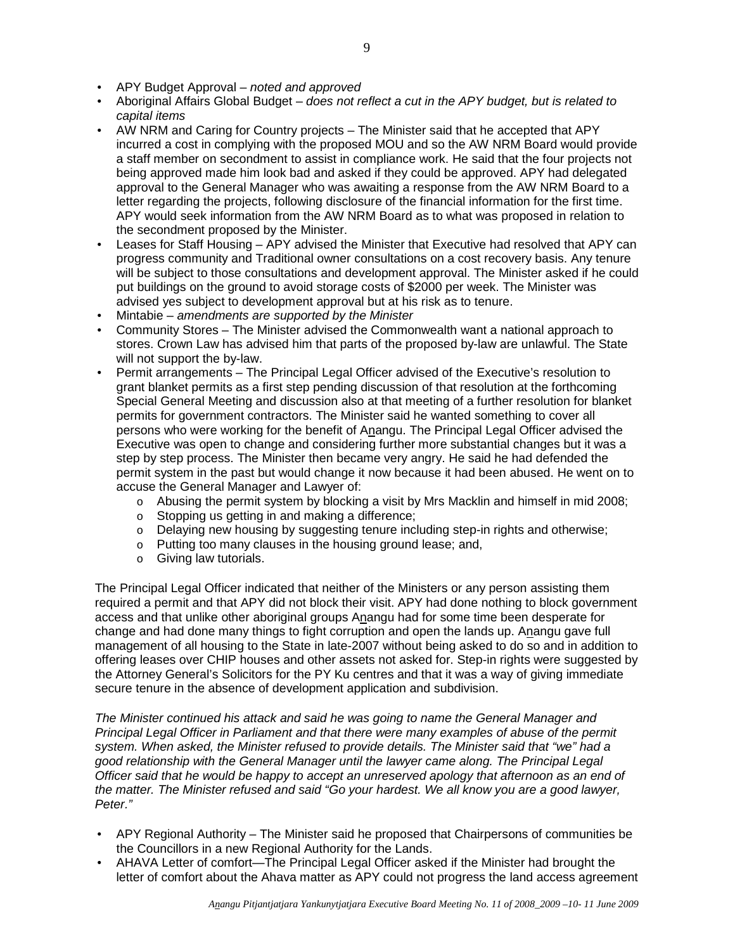- APY Budget Approval noted and approved
- Aboriginal Affairs Global Budget does not reflect a cut in the APY budget, but is related to capital items
- AW NRM and Caring for Country projects The Minister said that he accepted that APY incurred a cost in complying with the proposed MOU and so the AW NRM Board would provide a staff member on secondment to assist in compliance work. He said that the four projects not being approved made him look bad and asked if they could be approved. APY had delegated approval to the General Manager who was awaiting a response from the AW NRM Board to a letter regarding the projects, following disclosure of the financial information for the first time. APY would seek information from the AW NRM Board as to what was proposed in relation to the secondment proposed by the Minister.
- Leases for Staff Housing APY advised the Minister that Executive had resolved that APY can progress community and Traditional owner consultations on a cost recovery basis. Any tenure will be subject to those consultations and development approval. The Minister asked if he could put buildings on the ground to avoid storage costs of \$2000 per week. The Minister was advised yes subject to development approval but at his risk as to tenure.
- Mintabie amendments are supported by the Minister
- Community Stores The Minister advised the Commonwealth want a national approach to stores. Crown Law has advised him that parts of the proposed by-law are unlawful. The State will not support the by-law.
- Permit arrangements The Principal Legal Officer advised of the Executive's resolution to grant blanket permits as a first step pending discussion of that resolution at the forthcoming Special General Meeting and discussion also at that meeting of a further resolution for blanket permits for government contractors. The Minister said he wanted something to cover all persons who were working for the benefit of Anangu. The Principal Legal Officer advised the Executive was open to change and considering further more substantial changes but it was a step by step process. The Minister then became very angry. He said he had defended the permit system in the past but would change it now because it had been abused. He went on to accuse the General Manager and Lawyer of:
	- o Abusing the permit system by blocking a visit by Mrs Macklin and himself in mid 2008;
	- o Stopping us getting in and making a difference;
	- o Delaying new housing by suggesting tenure including step-in rights and otherwise;
	- o Putting too many clauses in the housing ground lease; and,
	- o Giving law tutorials.

The Principal Legal Officer indicated that neither of the Ministers or any person assisting them required a permit and that APY did not block their visit. APY had done nothing to block government access and that unlike other aboriginal groups Anangu had for some time been desperate for change and had done many things to fight corruption and open the lands up. Anangu gave full management of all housing to the State in late-2007 without being asked to do so and in addition to offering leases over CHIP houses and other assets not asked for. Step-in rights were suggested by the Attorney General's Solicitors for the PY Ku centres and that it was a way of giving immediate secure tenure in the absence of development application and subdivision.

The Minister continued his attack and said he was going to name the General Manager and Principal Legal Officer in Parliament and that there were many examples of abuse of the permit system. When asked, the Minister refused to provide details. The Minister said that "we" had a good relationship with the General Manager until the lawyer came along. The Principal Legal Officer said that he would be happy to accept an unreserved apology that afternoon as an end of the matter. The Minister refused and said "Go your hardest. We all know you are a good lawyer, Peter."

- APY Regional Authority The Minister said he proposed that Chairpersons of communities be the Councillors in a new Regional Authority for the Lands.
- AHAVA Letter of comfort—The Principal Legal Officer asked if the Minister had brought the letter of comfort about the Ahava matter as APY could not progress the land access agreement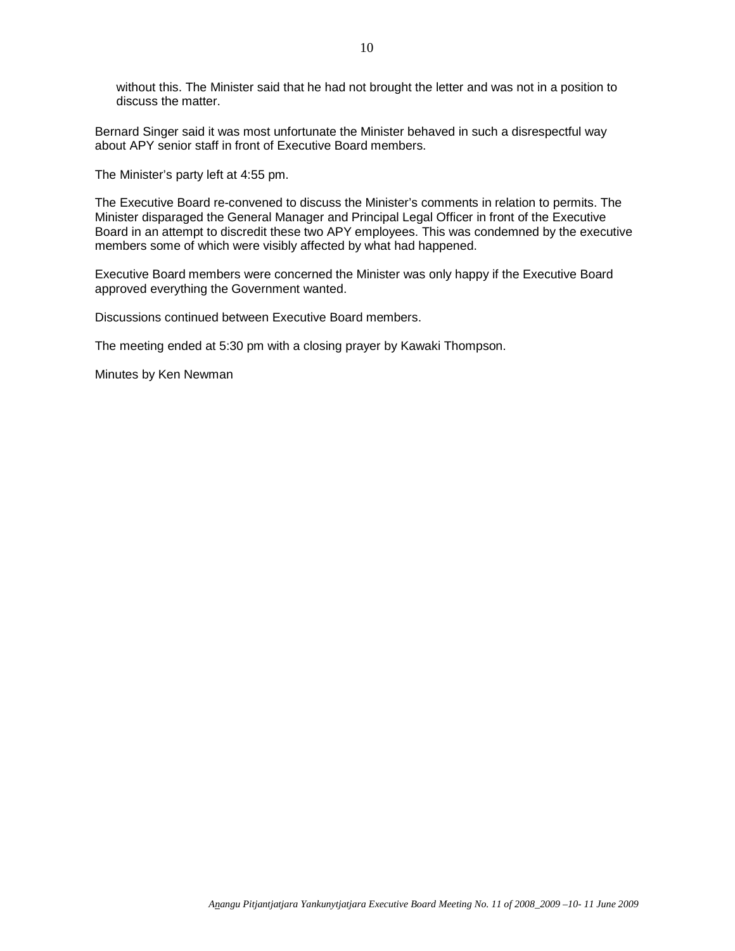without this. The Minister said that he had not brought the letter and was not in a position to discuss the matter.

Bernard Singer said it was most unfortunate the Minister behaved in such a disrespectful way about APY senior staff in front of Executive Board members.

The Minister's party left at 4:55 pm.

The Executive Board re-convened to discuss the Minister's comments in relation to permits. The Minister disparaged the General Manager and Principal Legal Officer in front of the Executive Board in an attempt to discredit these two APY employees. This was condemned by the executive members some of which were visibly affected by what had happened.

Executive Board members were concerned the Minister was only happy if the Executive Board approved everything the Government wanted.

Discussions continued between Executive Board members.

The meeting ended at 5:30 pm with a closing prayer by Kawaki Thompson.

Minutes by Ken Newman